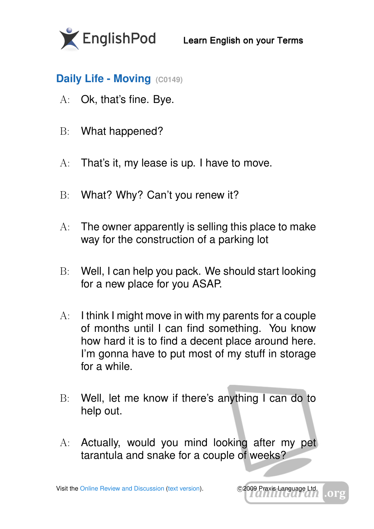

## **Daily Life - Moving (C0149)**

- A: Ok, that's fine. Bye.
- B: What happened?
- A: That's it, my lease is up. I have to move.
- B: What? Why? Can't you renew it?
- A: The owner apparently is selling this place to make way for the construction of a parking lot
- B: Well, I can help you pack. We should start looking for a new place for you ASAP.
- A: I think I might move in with my parents for a couple of months until I can find something. You know how hard it is to find a decent place around here. I'm gonna have to put most of my stuff in storage for a while.
- B: Well, let me know if there's anything I can do to help out.
- A: Actually, would you mind looking after my pet tarantula and snake for a couple of weeks?

Visit the [Online Review and Discussion](http://englishpod.com/lesson-redirect?v3id=0149) [\(text version\)](http://s3.amazonaws.com/englishpod.com/extra/0149/eac4201e3d98c80d2d2c97c70b640b046acb5218/pdf/englishpod_0149.html). C2009 Praxis Language Ltd.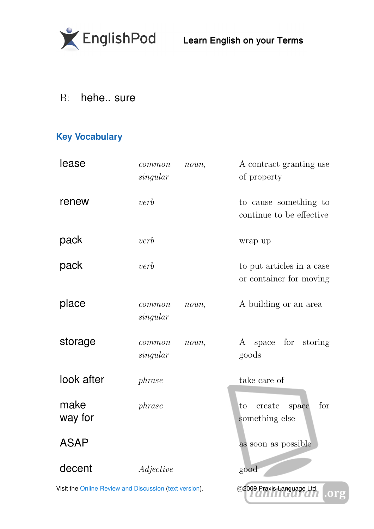

B: hehe.. sure

## **Key Vocabulary**

| lease                                                  | common<br>singular | noun, | A contract granting use<br>of property               |
|--------------------------------------------------------|--------------------|-------|------------------------------------------------------|
| renew                                                  | verb               |       | to cause something to<br>continue to be effective.   |
| pack                                                   | verb               |       | wrap up                                              |
| pack                                                   | verb               |       | to put articles in a case<br>or container for moving |
| place                                                  | common<br>singular | noun, | A building or an area                                |
| storage                                                | common<br>singular | noun, | for storing<br>A space<br>goods                      |
| look after                                             | phrase             |       | take care of                                         |
| make<br>way for                                        | phrase             |       | for<br>create<br>space<br>to<br>something else       |
| ASAP                                                   |                    |       | as soon as possible                                  |
| decent                                                 | Adjective          |       | good                                                 |
| Visit the Online Review and Discussion (text version). |                    |       | C2009 Praxis Language Ltd.                           |